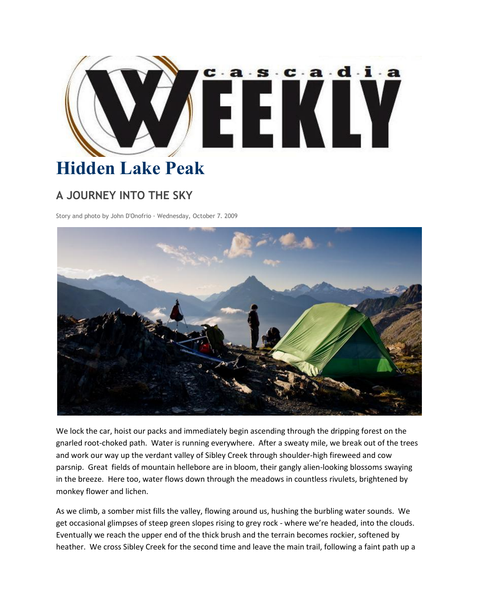

## **Hidden Lake Peak**

## **A JOURNEY INTO THE SKY**

Story and photo by John D'Onofrio · Wednesday, October 7. 2009



We lock the car, hoist our packs and immediately begin ascending through the dripping forest on the gnarled root-choked path. Water is running everywhere. After a sweaty mile, we break out of the trees and work our way up the verdant valley of Sibley Creek through shoulder-high fireweed and cow parsnip. Great fields of mountain hellebore are in bloom, their gangly alien-looking blossoms swaying in the breeze. Here too, water flows down through the meadows in countless rivulets, brightened by monkey flower and lichen.

As we climb, a somber mist fills the valley, flowing around us, hushing the burbling water sounds. We get occasional glimpses of steep green slopes rising to grey rock - where we're headed, into the clouds. Eventually we reach the upper end of the thick brush and the terrain becomes rockier, softened by heather. We cross Sibley Creek for the second time and leave the main trail, following a faint path up a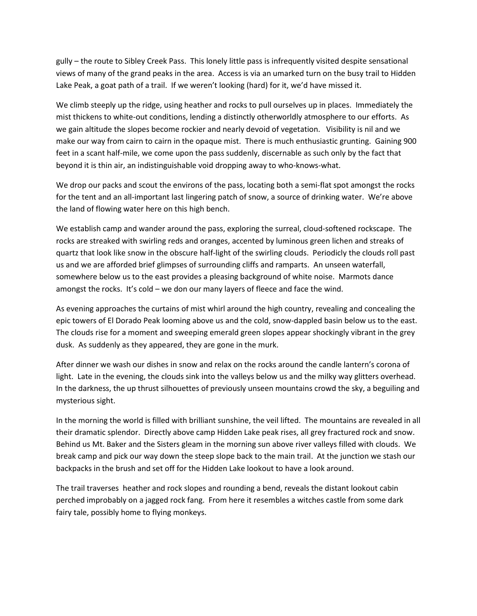gully – the route to Sibley Creek Pass. This lonely little pass is infrequently visited despite sensational views of many of the grand peaks in the area. Access is via an umarked turn on the busy trail to Hidden Lake Peak, a goat path of a trail. If we weren't looking (hard) for it, we'd have missed it.

We climb steeply up the ridge, using heather and rocks to pull ourselves up in places. Immediately the mist thickens to white-out conditions, lending a distinctly otherworldly atmosphere to our efforts. As we gain altitude the slopes become rockier and nearly devoid of vegetation. Visibility is nil and we make our way from cairn to cairn in the opaque mist. There is much enthusiastic grunting. Gaining 900 feet in a scant half-mile, we come upon the pass suddenly, discernable as such only by the fact that beyond it is thin air, an indistinguishable void dropping away to who-knows-what.

We drop our packs and scout the environs of the pass, locating both a semi-flat spot amongst the rocks for the tent and an all-important last lingering patch of snow, a source of drinking water. We're above the land of flowing water here on this high bench.

We establish camp and wander around the pass, exploring the surreal, cloud-softened rockscape. The rocks are streaked with swirling reds and oranges, accented by luminous green lichen and streaks of quartz that look like snow in the obscure half-light of the swirling clouds. Periodicly the clouds roll past us and we are afforded brief glimpses of surrounding cliffs and ramparts. An unseen waterfall, somewhere below us to the east provides a pleasing background of white noise. Marmots dance amongst the rocks. It's cold – we don our many layers of fleece and face the wind.

As evening approaches the curtains of mist whirl around the high country, revealing and concealing the epic towers of El Dorado Peak looming above us and the cold, snow-dappled basin below us to the east. The clouds rise for a moment and sweeping emerald green slopes appear shockingly vibrant in the grey dusk. As suddenly as they appeared, they are gone in the murk.

After dinner we wash our dishes in snow and relax on the rocks around the candle lantern's corona of light. Late in the evening, the clouds sink into the valleys below us and the milky way glitters overhead. In the darkness, the up thrust silhouettes of previously unseen mountains crowd the sky, a beguiling and mysterious sight.

In the morning the world is filled with brilliant sunshine, the veil lifted. The mountains are revealed in all their dramatic splendor. Directly above camp Hidden Lake peak rises, all grey fractured rock and snow. Behind us Mt. Baker and the Sisters gleam in the morning sun above river valleys filled with clouds. We break camp and pick our way down the steep slope back to the main trail. At the junction we stash our backpacks in the brush and set off for the Hidden Lake lookout to have a look around.

The trail traverses heather and rock slopes and rounding a bend, reveals the distant lookout cabin perched improbably on a jagged rock fang. From here it resembles a witches castle from some dark fairy tale, possibly home to flying monkeys.